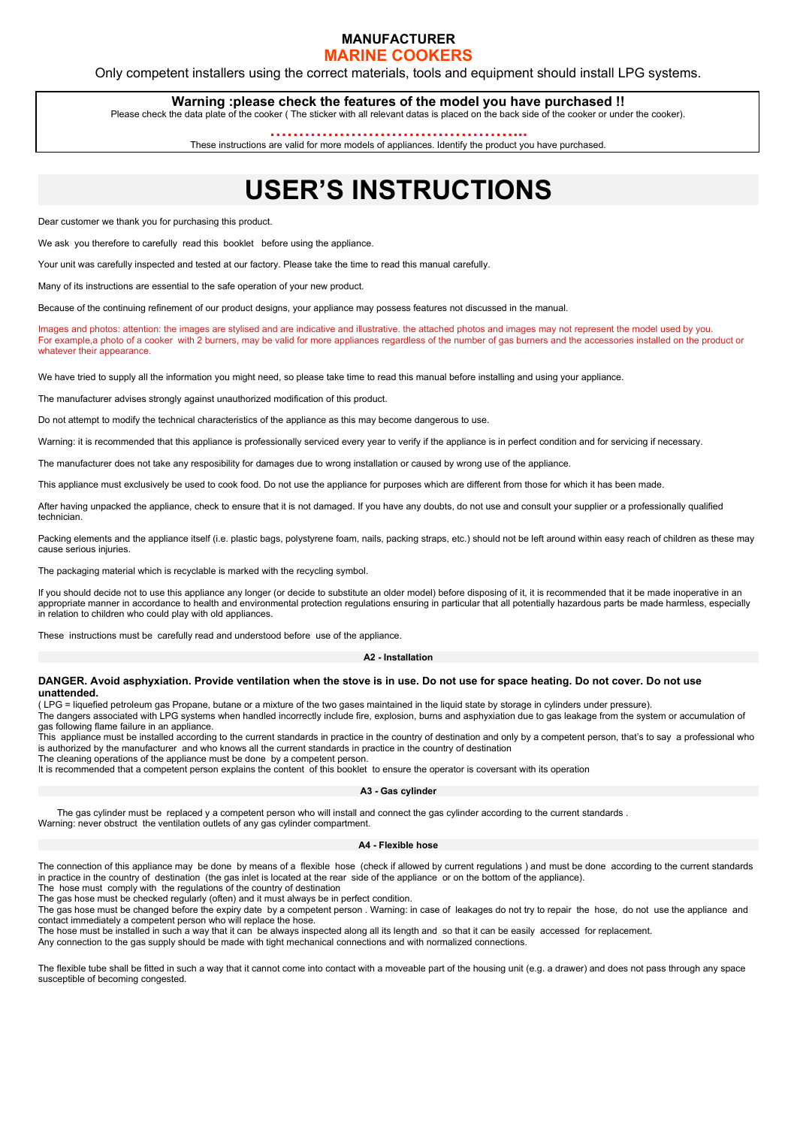## **MANUFACTURER**

## **MARINE COOKERS**

Only competent installers using the correct materials, tools and equipment should install LPG systems.

**Warning :please check the features of the model you have purchased !!** Please check the data plate of the cooker ( The sticker with all relevant datas is placed on the back side of the cooker or under the cooker).

**……………………………………...**

These instructions are valid for more models of appliances. Identify the product you have purchased.

## **USER'S INSTRUCTIONS**

Dear customer we thank you for purchasing this product.

We ask you therefore to carefully read this booklet before using the appliance.

Your unit was carefully inspected and tested at our factory. Please take the time to read this manual carefully.

Many of its instructions are essential to the safe operation of your new product.

Because of the continuing refinement of our product designs, your appliance may possess features not discussed in the manual.

Images and photos: attention: the images are stylised and are indicative and illustrative. the attached photos and images may not represent the model used by you. For example,a photo of a cooker with 2 burners, may be valid for more appliances regardless of the number of gas burners and the accessories installed on the product or whatever their appearance.

We have tried to supply all the information you might need, so please take time to read this manual before installing and using your appliance.

The manufacturer advises strongly against unauthorized modification of this product.

Do not attempt to modify the technical characteristics of the appliance as this may become dangerous to use.

Warning: it is recommended that this appliance is professionally serviced every year to verify if the appliance is in perfect condition and for servicing if necessary.

The manufacturer does not take any resposibility for damages due to wrong installation or caused by wrong use of the appliance.

This appliance must exclusively be used to cook food. Do not use the appliance for purposes which are different from those for which it has been made.

After having unpacked the appliance, check to ensure that it is not damaged. If you have any doubts, do not use and consult your supplier or a professionally qualified technician.

Packing elements and the appliance itself (i.e. plastic bags, polystyrene foam, nails, packing straps, etc.) should not be left around within easy reach of children as these may cause serious injuries.

The packaging material which is recyclable is marked with the recycling symbol.

If you should decide not to use this appliance any longer (or decide to substitute an older model) before disposing of it, it is recommended that it be made inoperative in an appropriate manner in accordance to health and environmental protection regulations ensuring in particular that all potentially hazardous parts be made harmless, especially in relation to children who could play with old appliances.

These instructions must be carefully read and understood before use of the appliance.

### **A2 - Installation**

### **DANGER. Avoid asphyxiation. Provide ventilation when the stove is in use. Do not use for space heating. Do not cover. Do not use unattended.**

( LPG = liquefied petroleum gas Propane, butane or a mixture of the two gases maintained in the liquid state by storage in cylinders under pressure).

The dangers associated with LPG systems when handled incorrectly include fire, explosion, burns and asphyxiation due to gas leakage from the system or accumulation of gas following flame failure in an appliance.

This appliance must be installed according to the current standards in practice in the country of destination and only by a competent person, that's to say a professional who is authorized by the manufacturer and who knows all the current standards in practice in the country of destination

The cleaning operations of the appliance must be done by a competent person.

It is recommended that a competent person explains the content of this booklet to ensure the operator is coversant with its operation

#### **A3 - Gas cylinder**

The gas cylinder must be replaced y a competent person who will install and connect the gas cylinder according to the current standards. Warning: never obstruct the ventilation outlets of any gas cylinder compartment.

## **A4 - Flexible hose**

The connection of this appliance may be done by means of a flexible hose (check if allowed by current regulations ) and must be done according to the current standards in practice in the country of destination (the gas inlet is located at the rear side of the appliance or on the bottom of the appliance).

The hose must comply with the regulations of the country of destination

The gas hose must be checked regularly (often) and it must always be in perfect condition.

The gas hose must be changed before the expiry date by a competent person . Warning: in case of leakages do not try to repair the hose, do not use the appliance and contact immediately a competent person who will replace the hose.

The hose must be installed in such a way that it can be always inspected along all its length and so that it can be easily accessed for replacement.

Any connection to the gas supply should be made with tight mechanical connections and with normalized connections.

The flexible tube shall be fitted in such a way that it cannot come into contact with a moveable part of the housing unit (e.g. a drawer) and does not pass through any space susceptible of becoming congested.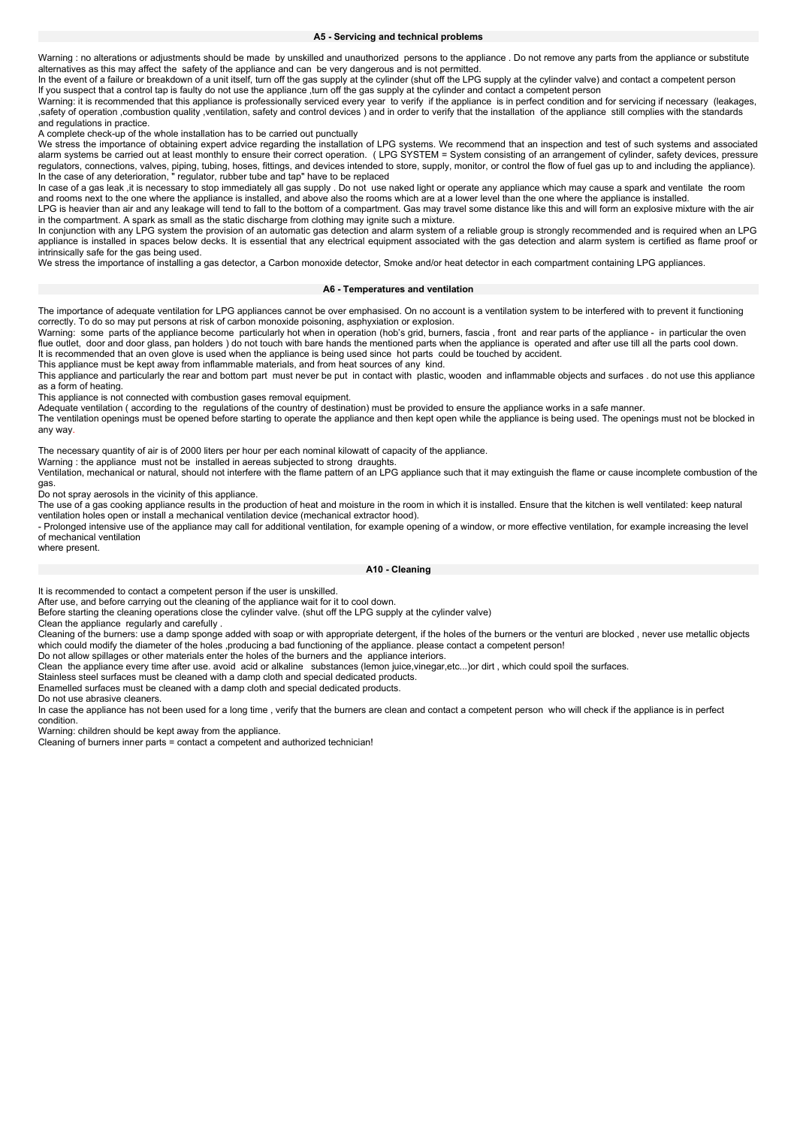### **A5 - Servicing and technical problems**

Warning : no alterations or adjustments should be made by unskilled and unauthorized persons to the appliance . Do not remove any parts from the appliance or substitute alternatives as this may affect the safety of the appliance and can be very dangerous and is not permitted.

In the event of a failure or breakdown of a unit itself, turn off the gas supply at the cylinder (shut off the LPG supply at the cylinder valve) and contact a competent person If you suspect that a control tap is faulty do not use the appliance ,turn off the gas supply at the cylinder and contact a competent person

Warning: it is recommended that this appliance is professionally serviced every year to verify if the appliance is in perfect condition and for servicing if necessary (leakages, ,safety of operation ,combustion quality ,ventilation, safety and control devices ) and in order to verify that the installation of the appliance still complies with the standards and regulations in practice.

A complete check-up of the whole installation has to be carried out punctually

We stress the importance of obtaining expert advice regarding the installation of LPG systems. We recommend that an inspection and test of such systems and associated alarm systems be carried out at least monthly to ensure their correct operation. ( LPG SYSTEM = System consisting of an arrangement of cylinder, safety devices, pressure regulators, connections, valves, piping, tubing, hoses, fittings, and devices intended to store, supply, monitor, or control the flow of fuel gas up to and including the appliance). In the case of any deterioration, " regulator, rubber tube and tap" have to be replaced

In case of a gas leak ,it is necessary to stop immediately all gas supply . Do not use naked light or operate any appliance which may cause a spark and ventilate the room and rooms next to the one where the appliance is installed, and above also the rooms which are at a lower level than the one where the appliance is installed.

LPG is heavier than air and any leakage will tend to fall to the bottom of a compartment. Gas may travel some distance like this and will form an explosive mixture with the air in the compartment. A spark as small as the static discharge from clothing may ignite such a mixture.

In conjunction with any LPG system the provision of an automatic gas detection and alarm system of a reliable group is strongly recommended and is required when an LPG appliance is installed in spaces below decks. It is essential that any electrical equipment associated with the gas detection and alarm system is certified as flame proof or intrinsically safe for the gas being used.

We stress the importance of installing a gas detector, a Carbon monoxide detector, Smoke and/or heat detector in each compartment containing LPG appliances.

## **A6 - Temperatures and ventilation**

The importance of adequate ventilation for LPG appliances cannot be over emphasised. On no account is a ventilation system to be interfered with to prevent it functioning correctly. To do so may put persons at risk of carbon monoxide poisoning, asphyxiation or explosion.

Warning: some parts of the appliance become particularly hot when in operation (hob's grid, burners, fascia , front and rear parts of the appliance - in particular the oven flue outlet, door and door glass, pan holders) do not touch with bare hands the mentioned parts when the appliance is operated and after use till all the parts cool down. It is recommended that an oven glove is used when the appliance is being used since hot parts could be touched by accident.

This appliance must be kept away from inflammable materials, and from heat sources of any kind.

This appliance and particularly the rear and bottom part must never be put in contact with plastic, wooden and inflammable objects and surfaces . do not use this appliance as a form of heating.

This appliance is not connected with combustion gases removal equipment.

Adequate ventilation ( according to the regulations of the country of destination) must be provided to ensure the appliance works in a safe manner.

The ventilation openings must be opened before starting to operate the appliance and then kept open while the appliance is being used. The openings must not be blocked in any way.

The necessary quantity of air is of 2000 liters per hour per each nominal kilowatt of capacity of the appliance.

Warning : the appliance must not be installed in aereas subjected to strong draughts.

Ventilation, mechanical or natural, should not interfere with the flame pattern of an LPG appliance such that it may extinguish the flame or cause incomplete combustion of the gas.

Do not spray aerosols in the vicinity of this appliance.

The use of a gas cooking appliance results in the production of heat and moisture in the room in which it is installed. Ensure that the kitchen is well ventilated: keep natural<br>The use of a gas cooking appliance results in ventilation holes open or install a mechanical ventilation device (mechanical extractor hood).

- Prolonged intensive use of the appliance may call for additional ventilation, for example opening of a window, or more effective ventilation, for example increasing the level of mechanical ventilation

## where present.

#### **A10 - Cleaning**

It is recommended to contact a competent person if the user is unskilled.

After use, and before carrying out the cleaning of the appliance wait for it to cool down.

Before starting the cleaning operations close the cylinder valve. (shut off the LPG supply at the cylinder valve)

Clean the appliance regularly and carefully .

Cleaning of the burners: use a damp sponge added with soap or with appropriate detergent, if the holes of the burners or the venturi are blocked , never use metallic objects which could modify the diameter of the holes ,producing a bad functioning of the appliance. please contact a competent person!

Do not allow spillages or other materials enter the holes of the burners and the appliance interiors.

Clean the appliance every time after use. avoid acid or alkaline substances (lemon juice,vinegar,etc...)or dirt , which could spoil the surfaces.

Stainless steel surfaces must be cleaned with a damp cloth and special dedicated products.

Enamelled surfaces must be cleaned with a damp cloth and special dedicated products.

Do not use abrasive cleaners.

In case the appliance has not been used for a long time , verify that the burners are clean and contact a competent person who will check if the appliance is in perfect condition.

Warning: children should be kept away from the appliance.

Cleaning of burners inner parts = contact a competent and authorized technician!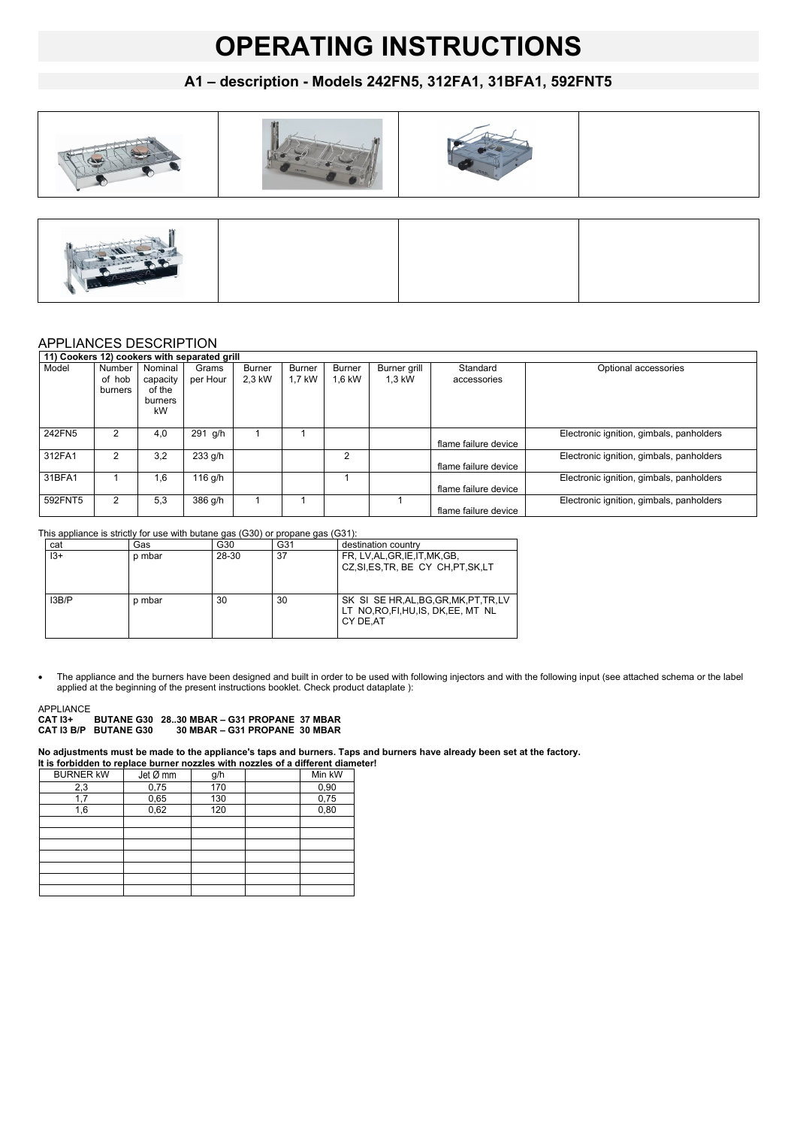## **OPERATING INSTRUCTIONS**

## **A1 – description - Models 242FN5, 312FA1, 31BFA1, 592FNT5**



## APPLIANCES DESCRIPTION

| 11) Cookers 12) cookers with separated grill |                             |                                                |                   |                  |                  |                         |                        |                         |                                          |
|----------------------------------------------|-----------------------------|------------------------------------------------|-------------------|------------------|------------------|-------------------------|------------------------|-------------------------|------------------------------------------|
| Model                                        | Number<br>of hob<br>burners | Nominal<br>capacity<br>of the<br>burners<br>kW | Grams<br>per Hour | Burner<br>2,3 kW | Burner<br>1.7 kW | <b>Burner</b><br>1.6 kW | Burner grill<br>1.3 kW | Standard<br>accessories | Optional accessories                     |
| 242FN5                                       | $\overline{2}$              | 4.0                                            | 291 g/h           |                  |                  |                         |                        | flame failure device    | Electronic ignition, gimbals, panholders |
| 312FA1                                       | 2                           | 3,2                                            | 233 g/h           |                  |                  | 2                       |                        | flame failure device    | Electronic ignition, gimbals, panholders |
| 31BFA1                                       |                             | 1.6                                            | 116 g/h           |                  |                  |                         |                        | flame failure device    | Electronic ignition, gimbals, panholders |
| 592FNT5                                      | $\overline{2}$              | 5.3                                            | 386 g/h           |                  |                  |                         |                        | flame failure device    | Electronic ignition, gimbals, panholders |

This appliance is strictly for use with butane gas (G30) or propane gas (G31):

| cat   | Gas    | G30   | G31 | destination country                                                                         |
|-------|--------|-------|-----|---------------------------------------------------------------------------------------------|
| $13+$ | p mbar | 28-30 | 37  | FR, LV, AL, GR, IE, IT, MK, GB,<br>CZ, SI, ES, TR, BE CY CH, PT, SK, LT                     |
| 13B/P | p mbar | 30    | 30  | SK SI SE HR, AL, BG, GR, MK, PT, TR, LV<br>LT NO, RO, FI, HU, IS, DK, EE, MT NL<br>CY DE.AT |

 The appliance and the burners have been designed and built in order to be used with following injectors and with the following input (see attached schema or the label applied at the beginning of the present instructions booklet. Check product dataplate ):

## APPLIANCE

**CAT I3+ BUTANE G30 28..30 MBAR – G31 PROPANE 37 MBAR CAT I3 B/P BUTANE G30 30 MBAR – G31 PROPANE 30 MBAR**

**No adjustments must be made to the appliance's taps and burners. Taps and burners have already been set at the factory.** 

| It is forbidden to replace burner nozzles with nozzles of a different diameter! |          |     |  |        |  |
|---------------------------------------------------------------------------------|----------|-----|--|--------|--|
| <b>BURNER KW</b>                                                                | Jet Ø mm | g/h |  | Min kW |  |
| 2,3                                                                             | 0,75     | 170 |  | 0,90   |  |
| 1,7                                                                             | 0,65     | 130 |  | 0,75   |  |
| 1,6                                                                             | 0,62     | 120 |  | 0,80   |  |
|                                                                                 |          |     |  |        |  |
|                                                                                 |          |     |  |        |  |
|                                                                                 |          |     |  |        |  |
|                                                                                 |          |     |  |        |  |
|                                                                                 |          |     |  |        |  |
|                                                                                 |          |     |  |        |  |
|                                                                                 |          |     |  |        |  |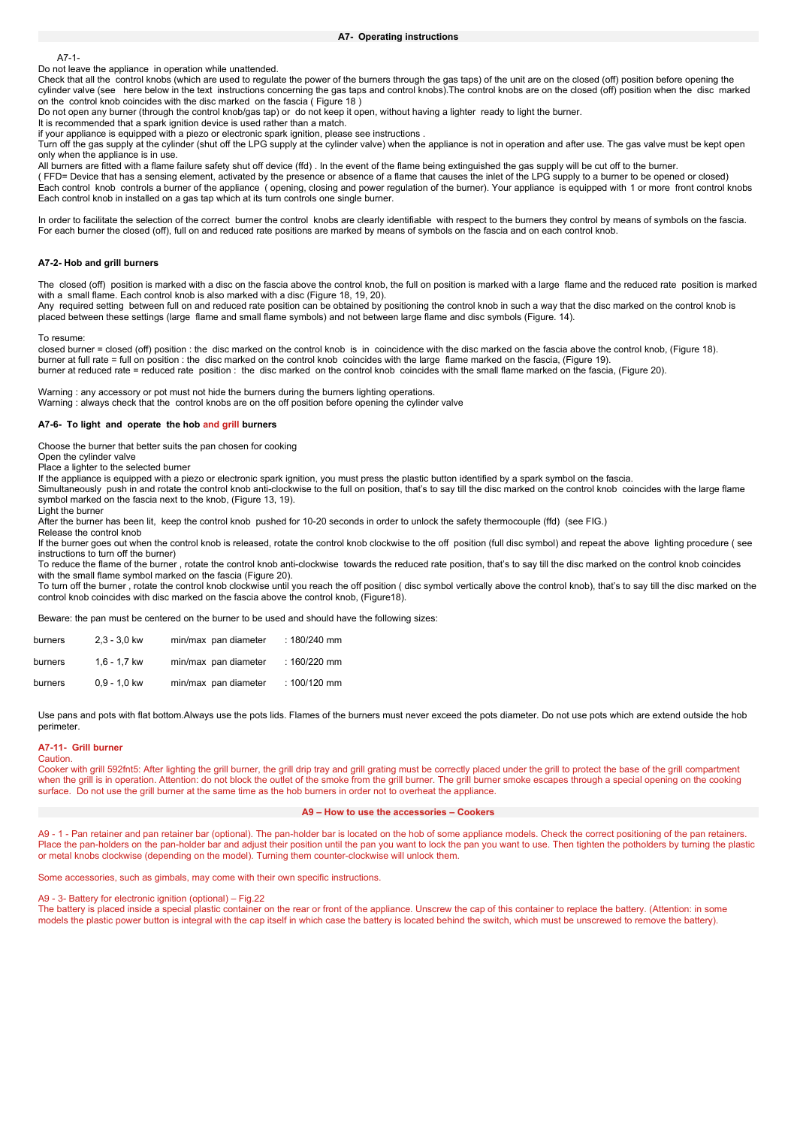A7-1-

Do not leave the appliance in operation while unattended.

Check that all the control knobs (which are used to regulate the power of the burners through the gas taps) of the unit are on the closed (off) position before opening the cylinder valve (see here below in the text instructions concerning the gas taps and control knobs). The control knobs are on the closed (off) position when the disc marked on the control knob coincides with the disc marked on the fascia (Figure 18)

Do not open any burner (through the control knob/gas tap) or do not keep it open, without having a lighter ready to light the burner.

It is recommended that a spark ignition device is used rather than a match.

if your appliance is equipped with a piezo or electronic spark ignition, please see instructions . Turn off the gas supply at the cylinder (shut off the LPG supply at the cylinder valve) when the appliance is not in operation and after use. The gas valve must be kept open

only when the appliance is in use.

All burners are fitted with a flame failure safety shut off device (ffd). In the event of the flame being extinguished the gas supply will be cut off to the burner. ( FFD= Device that has a sensing element, activated by the presence or absence of a flame that causes the inlet of the LPG supply to a burner to be opened or closed) Each control knob controls a burner of the appliance ( opening, closing and power regulation of the burner). Your appliance is equipped with 1 or more front control knobs Each control knob in installed on a gas tap which at its turn controls one single burner.

In order to facilitate the selection of the correct burner the control knobs are clearly identifiable with respect to the burners they control by means of symbols on the fascia. For each burner the closed (off), full on and reduced rate positions are marked by means of symbols on the fascia and on each control knob.

#### **A7-2- Hob and grill burners**

The closed (off) position is marked with a disc on the fascia above the control knob, the full on position is marked with a large flame and the reduced rate position is marked with a small flame. Each control knob is also marked with a disc (Figure 18, 19, 20).

Any required setting between full on and reduced rate position can be obtained by positioning the control knob in such a way that the disc marked on the control knob is placed between these settings (large flame and small flame symbols) and not between large flame and disc symbols (Figure. 14).

#### To resume:

closed burner = closed (off) position : the disc marked on the control knob is in coincidence with the disc marked on the fascia above the control knob, (Figure 18). burner at full rate = full on position : the disc marked on the control knob coincides with the large flame marked on the fascia, (Figure 19). burner at reduced rate = reduced rate position : the disc marked on the control knob coincides with the small flame marked on the fascia, (Figure 20).

Warning : any accessory or pot must not hide the burners during the burners lighting operations. Warning : always check that the control knobs are on the off position before opening the cylinder valve

#### **A7-6- To light and operate the hob and grill burners**

Choose the burner that better suits the pan chosen for cooking

Open the cylinder valve

Place a lighter to the selected burner

If the appliance is equipped with a piezo or electronic spark ignition, you must press the plastic button identified by a spark symbol on the fascia.

Simultaneously push in and rotate the control knob anti-clockwise to the full on position, that's to say till the disc marked on the control knob coincides with the large flame symbol marked on the fascia next to the knob, (Figure 13, 19).

Light the burner

After the burner has been lit, keep the control knob pushed for 10-20 seconds in order to unlock the safety thermocouple (ffd) (see FIG.)

Release the control knob

If the burner goes out when the control knob is released, rotate the control knob clockwise to the off position (full disc symbol) and repeat the above lighting procedure ( see instructions to turn off the burner)

To reduce the flame of the burner , rotate the control knob anti-clockwise towards the reduced rate position, that's to say till the disc marked on the control knob coincides with the small flame symbol marked on the fascia (Figure 20).

To turn off the burner , rotate the control knob clockwise until you reach the off position ( disc symbol vertically above the control knob), that's to say till the disc marked on the control knob coincides with disc marked on the fascia above the control knob, (Figure18).

Beware: the pan must be centered on the burner to be used and should have the following sizes:

| burners | $2.3 - 3.0$ kw | min/max pan diameter | : $180/240$ mm |
|---------|----------------|----------------------|----------------|
| burners | $1.6 - 1.7$ kw | min/max pan diameter | $: 160/220$ mm |
| burners | $0.9 - 1.0$ kw | min/max pan diameter | $: 100/120$ mm |

Use pans and pots with flat bottom.Always use the pots lids. Flames of the burners must never exceed the pots diameter. Do not use pots which are extend outside the hob perimeter.

#### **A7-11- Grill burner**

Caution.

Cooker with grill 592fnt5: After lighting the grill burner, the grill drip tray and grill grating must be correctly placed under the grill to protect the base of the grill compartment when the grill is in operation. Attention: do not block the outlet of the smoke from the grill burner. The grill burner smoke escapes through a special opening on the cooking surface. Do not use the grill burner at the same time as the hob burners in order not to overheat the appliance.

#### **A9 – How to use the accessories – Cookers**

A9 - 1 - Pan retainer and pan retainer bar (optional). The pan-holder bar is located on the hob of some appliance models. Check the correct positioning of the pan retainers. Place the pan-holders on the pan-holder bar and adjust their position until the pan you want to lock the pan you want to use. Then tighten the potholders by turning the plastic or metal knobs clockwise (depending on the model). Turning them counter-clockwise will unlock them.

Some accessories, such as gimbals, may come with their own specific instructions.

### A9 - 3- Battery for electronic ignition (optional) – Fig.22

The battery is placed inside a special plastic container on the rear or front of the appliance. Unscrew the cap of this container to replace the battery. (Attention: in some models the plastic power button is integral with the cap itself in which case the battery is located behind the switch, which must be unscrewed to remove the battery).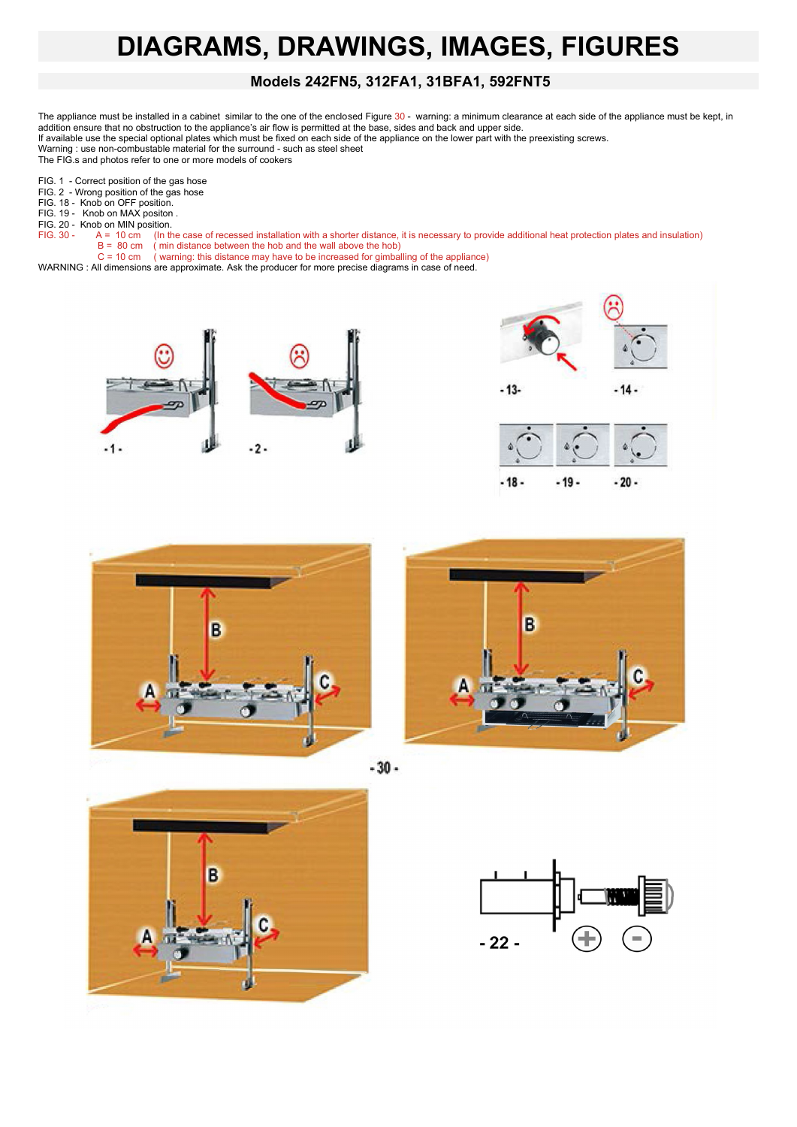## **DIAGRAMS, DRAWINGS, IMAGES, FIGURES**

## **Models 242FN5, 312FA1, 31BFA1, 592FNT5**

The appliance must be installed in a cabinet similar to the one of the enclosed Figure 30 - warning: a minimum clearance at each side of the appliance must be kept, in addition ensure that no obstruction to the appliance's air flow is permitted at the base, sides and back and upper side. If available use the special optional plates which must be fixed on each side of the appliance on the lower part with the preexisting screws.

Warning : use non-combustable material for the surround - such as steel sheet The FIG.s and photos refer to one or more models of cookers

FIG. 1 - Correct position of the gas hose

FIG. 2 - Wrong position of the gas hose

FIG. 18 - Knob on OFF position.

FIG. 19 - Knob on MAX positon . FIG. 20 - Knob on MIN position.

- 
- 

FIG. 30 - A = 10 cm (In the case of recessed installation with a shorter distance, it is necessary to provide additional heat protection plates and insulation)<br>B = 80 cm (min distance between the hob and the wall above the B = 80 cm ( min distance between the hob and the wall above the hob)

C = 10 cm ( warning: this distance may have to be increased for gimballing of the appliance)

WARNING : All dimensions are approximate. Ask the producer for more precise diagrams in case of need.











 $-30 -$